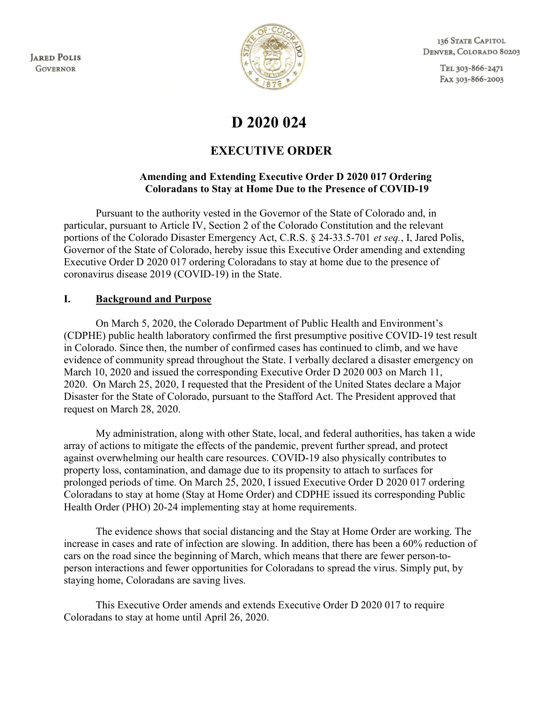**JARED POLIS GOVERNOR** 



136 STATE CAPITOL DENVER, COLORADO 80203

> TEL 303-866-2471 FAX 303-866-2003

# D 2020 024

## EXECUTIVE ORDER

#### Amending and Extending Executive Order D 2020 017 Ordering Coloradans to Stay at Home Due to the Presence of COVID-19

Pursuant to the authority vested in the Governor of the State of Colorado and, in particular, pursuant to Article IV, Section 2 of the Colorado Constitution and the relevant portions of the Colorado Disaster Emergency Act, C.R.S. § 24-33.5-701 et seq., I, Jared Polis, Governor of the State of Colorado, hereby issue this Executive Order amending and extending Executive Order D 2020 017 ordering Coloradans to stay at home due to the presence of coronavirus disease 2019 (COVID-19) in the State.

#### I. Background and Purpose

On March 5, 2020, the Colorado Department of Public Health and Environment's (CDPHE) public health laboratory confirmed the first presumptive positive COVID-19 test result in Colorado. Since then, the number of confirmed cases has continued to climb, and we have evidence of community spread throughout the State. I verbally declared a disaster emergency on March 10, 2020 and issued the corresponding Executive Order D 2020 003 on March 11, 2020. On March 25, 2020, I requested that the President of the United States declare a Major Disaster for the State of Colorado, pursuant to the Stafford Act. The President approved that request on March 28, 2020.

My administration, along with other State, local, and federal authorities, has taken a wide array of actions to mitigate the effects of the pandemic, prevent further spread, and protect against overwhelming our health care resources. COVID-19 also physically contributes to property loss, contamination, and damage due to its propensity to attach to surfaces for prolonged periods of time. On March 25, 2020, I issued Executive Order D 2020 017 ordering Coloradans to stay at home (Stay at Home Order) and CDPHE issued its corresponding Public Health Order (PHO) 20-24 implementing stay at home requirements.

The evidence shows that social distancing and the Stay at Home Order are working. The increase in cases and rate of infection are slowing. In addition, there has been a 60% reduction of cars on the road since the beginning of March, which means that there are fewer person-toperson interactions and fewer opportunities for Coloradans to spread the virus. Simply put, by staying home, Coloradans are saving lives.

This Executive Order amends and extends Executive Order D 2020 017 to require Coloradans to stay at home until April 26, 2020.